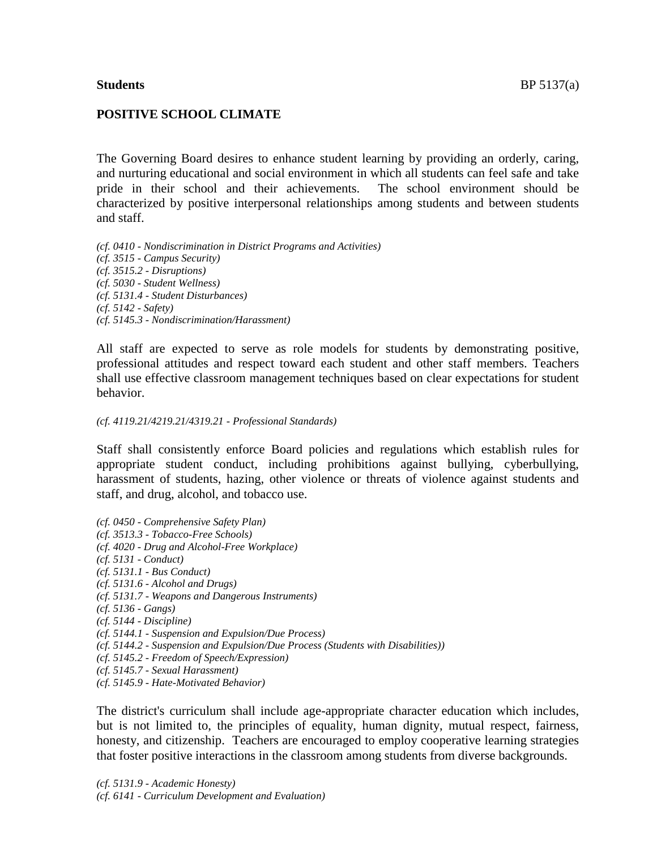## **POSITIVE SCHOOL CLIMATE**

The Governing Board desires to enhance student learning by providing an orderly, caring, and nurturing educational and social environment in which all students can feel safe and take pride in their school and their achievements. The school environment should be characterized by positive interpersonal relationships among students and between students and staff.

*(cf. 0410 - Nondiscrimination in District Programs and Activities) (cf. 3515 - Campus Security) (cf. 3515.2 - Disruptions) (cf. 5030 - Student Wellness) (cf. 5131.4 - Student Disturbances) (cf. 5142 - Safety) (cf. 5145.3 - Nondiscrimination/Harassment)*

All staff are expected to serve as role models for students by demonstrating positive, professional attitudes and respect toward each student and other staff members. Teachers shall use effective classroom management techniques based on clear expectations for student behavior.

#### *(cf. 4119.21/4219.21/4319.21 - Professional Standards)*

Staff shall consistently enforce Board policies and regulations which establish rules for appropriate student conduct, including prohibitions against bullying, cyberbullying, harassment of students, hazing, other violence or threats of violence against students and staff, and drug, alcohol, and tobacco use.

- *(cf. 0450 - Comprehensive Safety Plan) (cf. 3513.3 - Tobacco-Free Schools) (cf. 4020 - Drug and Alcohol-Free Workplace) (cf. 5131 - Conduct) (cf. 5131.1 - Bus Conduct) (cf. 5131.6 - Alcohol and Drugs) (cf. 5131.7 - Weapons and Dangerous Instruments) (cf. 5136 - Gangs) (cf. 5144 - Discipline) (cf. 5144.1 - Suspension and Expulsion/Due Process) (cf. 5144.2 - Suspension and Expulsion/Due Process (Students with Disabilities)) (cf. 5145.2 - Freedom of Speech/Expression) (cf. 5145.7 - Sexual Harassment)*
- *(cf. 5145.9 - Hate-Motivated Behavior)*

The district's curriculum shall include age-appropriate character education which includes, but is not limited to, the principles of equality, human dignity, mutual respect, fairness, honesty, and citizenship. Teachers are encouraged to employ cooperative learning strategies that foster positive interactions in the classroom among students from diverse backgrounds.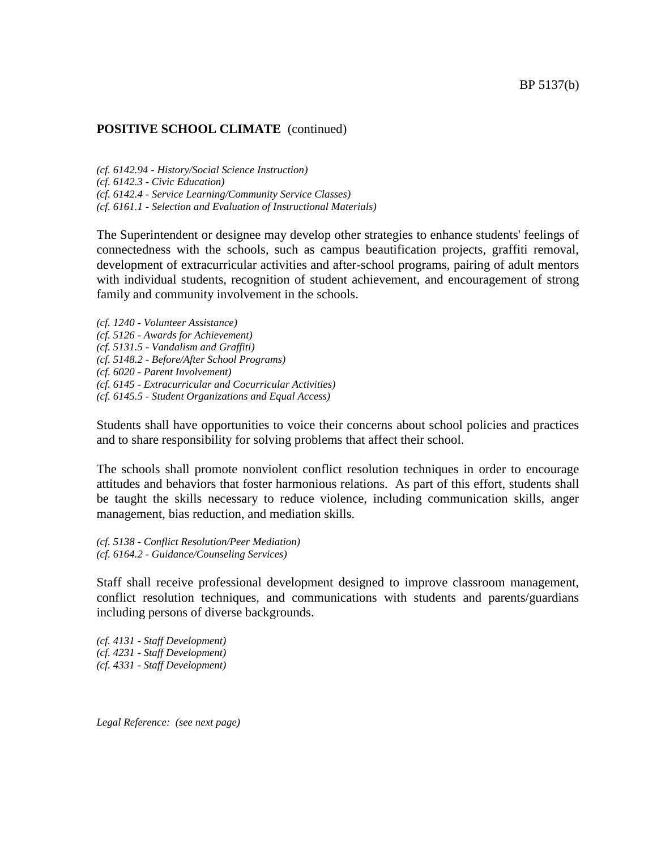## **POSITIVE SCHOOL CLIMATE** (continued)

*(cf. 6142.94 - History/Social Science Instruction) (cf. 6142.3 - Civic Education) (cf. 6142.4 - Service Learning/Community Service Classes) (cf. 6161.1 - Selection and Evaluation of Instructional Materials)*

The Superintendent or designee may develop other strategies to enhance students' feelings of connectedness with the schools, such as campus beautification projects, graffiti removal, development of extracurricular activities and after-school programs, pairing of adult mentors with individual students, recognition of student achievement, and encouragement of strong family and community involvement in the schools.

*(cf. 1240 - Volunteer Assistance) (cf. 5126 - Awards for Achievement) (cf. 5131.5 - Vandalism and Graffiti) (cf. 5148.2 - Before/After School Programs) (cf. 6020 - Parent Involvement) (cf. 6145 - Extracurricular and Cocurricular Activities) (cf. 6145.5 - Student Organizations and Equal Access)*

Students shall have opportunities to voice their concerns about school policies and practices and to share responsibility for solving problems that affect their school.

The schools shall promote nonviolent conflict resolution techniques in order to encourage attitudes and behaviors that foster harmonious relations. As part of this effort, students shall be taught the skills necessary to reduce violence, including communication skills, anger management, bias reduction, and mediation skills.

*(cf. 5138 - Conflict Resolution/Peer Mediation) (cf. 6164.2 - Guidance/Counseling Services)*

Staff shall receive professional development designed to improve classroom management, conflict resolution techniques, and communications with students and parents/guardians including persons of diverse backgrounds.

*(cf. 4131 - Staff Development) (cf. 4231 - Staff Development) (cf. 4331 - Staff Development)*

*Legal Reference: (see next page)*